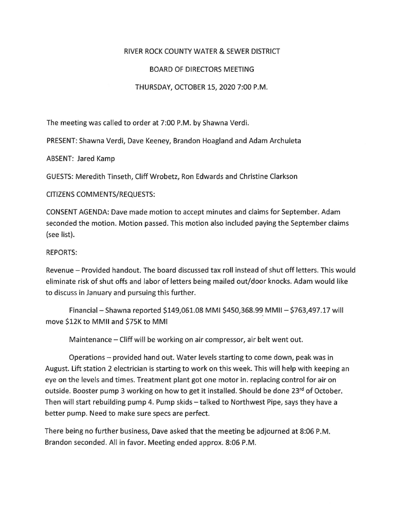## RIVER ROCK COUNTY WATER & SEWER DISTRICT

## BOARD OF DIRECTORS MEETING

## THURSDAY, OCTOBER 15, 2020 7:00 P.M.

The meeting was called to order at 7:00 P.M. by Shawna Verdi.

PRESENT: Shawna Verdi, Dave Keeney, Brandon Hoagland and Adam Archuleta

ABSENT: Jared Kamp

GUESTS: Meredith Tinseth, Cliff Wrobetz, Ron Edwards and Christine Clarkson

CITIZENS COMMENTS/REQUESTS:

CONSENT AGENDA: Dave made motion to accept minutes and claims for September. Adam seconded the motion. Motion passed. This motion also included paying the September claims (see list).

## REPORTS:

Revenue - Provided handout. The board discussed tax roll instead of shut off letters. This would eliminate risk of shut offs and labor of letters being mailed out/door knocks. Adam would like to discuss in January and pursuing this further.

Financial - Shawna reported \$149,061.08 MMI \$450,368.99 MMII - \$763,497.17 will move \$12K to MMII and \$75K to MMI

Maintenance - Cliff will be working on air compressor, air belt went out.

Operations - provided hand out. Water levels starting to come down, peak was in August. Lift station 2 electrician is starting to work on this week. This will help with keeping an eye on the levels and times. Treatment plant got one motor in. replacing control for air on outside. Booster pump 3 working on how to get it installed. Should be done 23<sup>rd</sup> of October. Then will start rebuilding pump 4. Pump skids – talked to Northwest Pipe, says they have a better pump. Need to make sure specs are perfect.

There being no further business, Dave asked that the meeting be adjourned at 8:06 P.M. Brandon seconded. All in favor. Meeting ended approx. 8:06 P.M.